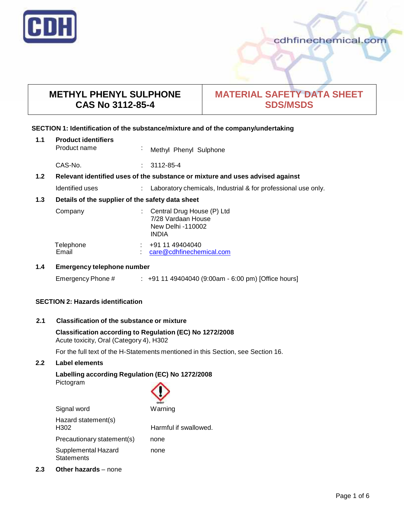

## **METHYL PHENYL SULPHONE CAS No 3112-85-4**

# **MATERIAL SAFETY DATA SHEET SDS/MSDS**

## **SECTION 1: Identification of the substance/mixture and of the company/undertaking**

| 1.1 | <b>Product identifiers</b>                                                    |  |                        |  |  |  |
|-----|-------------------------------------------------------------------------------|--|------------------------|--|--|--|
|     | Product name                                                                  |  | Methyl Phenyl Sulphone |  |  |  |
|     | CAS-No.                                                                       |  | $: 3112 - 85 - 4$      |  |  |  |
| 1.2 | Relevant identified uses of the substance or mixture and uses advised against |  |                        |  |  |  |
|     |                                                                               |  | .                      |  |  |  |

## Identified uses : Laboratory chemicals, Industrial & for professional use only.

## **1.3 Details of the supplier of the safety data sheet**

| Company            | : Central Drug House $(P)$ Ltd<br>7/28 Vardaan House<br>New Delhi -110002<br><b>INDIA</b> |
|--------------------|-------------------------------------------------------------------------------------------|
| Telephone<br>Email | +91 11 49404040<br>care@cdhfinechemical.com                                               |

## **1.4 Emergency telephone number**

Emergency Phone # : +91 11 49404040 (9:00am - 6:00 pm) [Office hours]

## **SECTION 2: Hazards identification**

## **2.1 Classification of the substance ormixture**

**Classification according to Regulation (EC) No 1272/2008** Acute toxicity, Oral (Category 4), H302

For the full text of the H-Statements mentioned in this Section, see Section 16.

## **2.2 Label elements**

## **Labelling according Regulation (EC) No 1272/2008**

Pictogram

Signal word

| GHS07   |
|---------|
| Warning |

| Harmful if swallowed. |
|-----------------------|
| none                  |
| none                  |
|                       |

**2.3 Other hazards** – none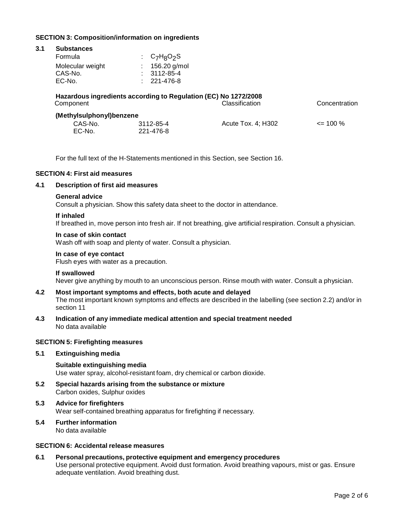## **SECTION 3: Composition/information on ingredients**

#### **3.1 Substances**

| Formula          | : $C_7H_8O_2S$    |
|------------------|-------------------|
| Molecular weight | $: 156.20$ g/mol  |
| CAS-No.          | $: 3112 - 85 - 4$ |
| EC-No.           | $: 221 - 476 - 8$ |

| Hazardous ingredients according to Regulation (EC) No 1272/2008<br><b>Classification</b><br>Concentration<br>Component |                        |                    |              |  |
|------------------------------------------------------------------------------------------------------------------------|------------------------|--------------------|--------------|--|
| (Methylsulphonyl)benzene<br>CAS-No.<br>EC-No.                                                                          | 3112-85-4<br>221-476-8 | Acute Tox. 4: H302 | $\leq$ 100 % |  |

For the full text of the H-Statements mentioned in this Section, see Section 16.

## **SECTION 4: First aid measures**

## **4.1 Description of first aid measures**

#### **General advice**

Consult a physician. Show this safety data sheet to the doctor in attendance.

#### **If inhaled**

If breathed in, move person into fresh air. If not breathing, give artificial respiration. Consult a physician.

## **In case of skin contact**

Wash off with soap and plenty of water. Consult a physician.

## **In case of eye contact**

Flush eyes with water as a precaution.

#### **If swallowed**

Never give anything by mouth to an unconscious person. Rinse mouth with water. Consult a physician.

### **4.2 Most important symptoms and effects, both acute and delayed**

The most important known symptoms and effects are described in the labelling (see section 2.2) and/or in section 11

**4.3 Indication of any immediate medical attention and special treatment needed** No data available

### **SECTION 5: Firefighting measures**

#### **5.1 Extinguishing media**

**Suitable extinguishing media** Use water spray, alcohol-resistant foam, dry chemical or carbon dioxide.

- **5.2 Special hazards arising from the substance ormixture** Carbon oxides, Sulphur oxides
- **5.3 Advice for firefighters** Wear self-contained breathing apparatus for firefighting if necessary.
- **5.4 Further information** No data available

## **SECTION 6: Accidental release measures**

**6.1 Personal precautions, protective equipment and emergency procedures** Use personal protective equipment. Avoid dust formation. Avoid breathing vapours, mist or gas. Ensure adequate ventilation. Avoid breathing dust.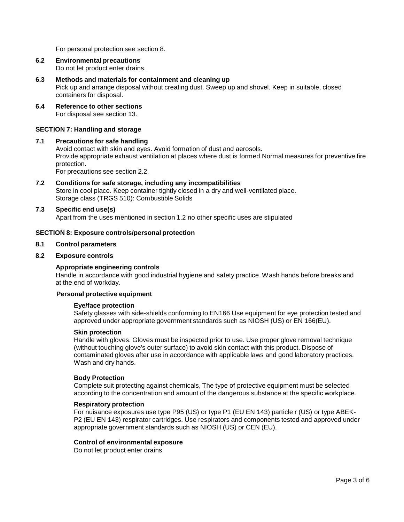For personal protection see section 8.

**6.2 Environmental precautions**

Do not let product enter drains.

## **6.3 Methods and materials for containment and cleaning up**

Pick up and arrange disposal without creating dust. Sweep up and shovel. Keep in suitable, closed containers for disposal.

**6.4 Reference to other sections** For disposal see section 13.

#### **SECTION 7: Handling and storage**

## **7.1 Precautions for safe handling**

Avoid contact with skin and eyes. Avoid formation of dust and aerosols. Provide appropriate exhaust ventilation at places where dust is formed.Normal measures for preventive fire protection.

For precautions see section 2.2.

**7.2 Conditions for safe storage, including any incompatibilities** Store in cool place. Keep container tightly closed in a dry and well-ventilated place. Storage class (TRGS 510): Combustible Solids

#### **7.3 Specific end use(s)**

Apart from the uses mentioned in section 1.2 no other specific uses are stipulated

#### **SECTION 8: Exposure controls/personal protection**

### **8.1 Control parameters**

#### **8.2 Exposure controls**

#### **Appropriate engineering controls**

Handle in accordance with good industrial hygiene and safety practice. Wash hands before breaks and at the end of workday.

#### **Personal protective equipment**

#### **Eye/face protection**

Safety glasses with side-shields conforming to EN166 Use equipment for eye protection tested and approved under appropriate government standards such as NIOSH (US) or EN 166(EU).

#### **Skin protection**

Handle with gloves. Gloves must be inspected prior to use. Use proper glove removal technique (without touching glove's outer surface) to avoid skin contact with this product. Dispose of contaminated gloves after use in accordance with applicable laws and good laboratory practices. Wash and dry hands.

#### **Body Protection**

Complete suit protecting against chemicals, The type of protective equipment must be selected according to the concentration and amount of the dangerous substance at the specific workplace.

#### **Respiratory protection**

For nuisance exposures use type P95 (US) or type P1 (EU EN 143) particle r (US) or type ABEK- P2 (EU EN 143) respirator cartridges. Use respirators and components tested and approved under appropriate government standards such as NIOSH (US) or CEN (EU).

#### **Control of environmental exposure**

Do not let product enter drains.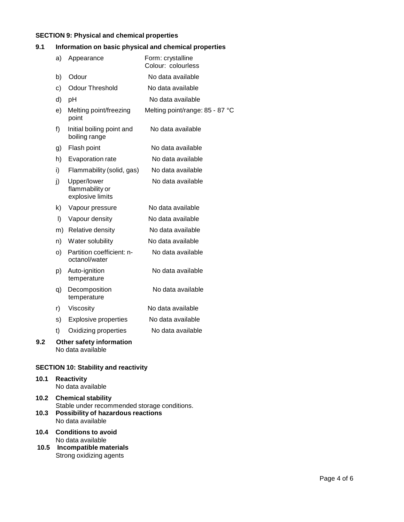## **SECTION 9: Physical and chemical properties**

## **9.1 Information on basic physical and chemical properties**

|     | a) | Appearance                                         | Form: crystalline<br>Colour: colourless |
|-----|----|----------------------------------------------------|-----------------------------------------|
|     | b) | Odour                                              | No data available                       |
|     | c) | <b>Odour Threshold</b>                             | No data available                       |
|     | d) | pH                                                 | No data available                       |
|     | e) | Melting point/freezing<br>point                    | Melting point/range: 85 - 87 °C         |
|     | f) | Initial boiling point and<br>boiling range         | No data available                       |
|     | g) | Flash point                                        | No data available                       |
|     | h) | Evaporation rate                                   | No data available                       |
|     | i) | Flammability (solid, gas)                          | No data available                       |
|     | j) | Upper/lower<br>flammability or<br>explosive limits | No data available                       |
|     | k) | Vapour pressure                                    | No data available                       |
|     | I) | Vapour density                                     | No data available                       |
|     | m) | Relative density                                   | No data available                       |
|     | n) | Water solubility                                   | No data available                       |
|     | O) | Partition coefficient: n-<br>octanol/water         | No data available                       |
|     | p) | Auto-ignition<br>temperature                       | No data available                       |
|     | q) | Decomposition<br>temperature                       | No data available                       |
|     | r) | Viscosity                                          | No data available                       |
|     | s) | <b>Explosive properties</b>                        | No data available                       |
|     | t) | Oxidizing properties                               | No data available                       |
| 9.2 |    | Other safety information<br>No data available      |                                         |

## **SECTION 10: Stability and reactivity**

- **10.1 Reactivity** No data available
- **10.2 Chemical stability** Stable under recommended storage conditions. **10.3 Possibility of hazardous reactions** No data available
- **10.4 Conditions to avoid** No data available
- **10.5 Incompatible materials** Strong oxidizing agents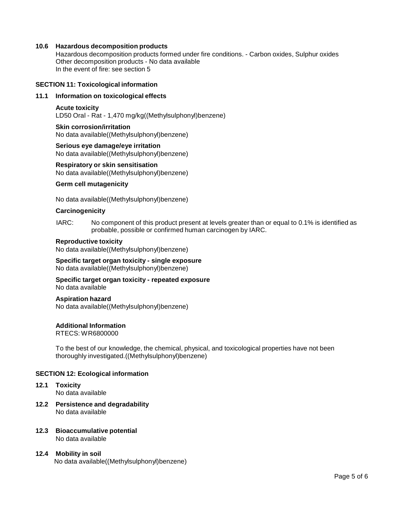#### **10.6 Hazardous decomposition products**

Hazardous decomposition products formed under fire conditions. - Carbon oxides, Sulphur oxides Other decomposition products - No data available In the event of fire: see section 5

#### **SECTION 11: Toxicological information**

## **11.1 Information on toxicological effects**

#### **Acute toxicity**

LD50 Oral - Rat - 1,470 mg/kg((Methylsulphonyl)benzene)

## **Skin corrosion/irritation** No data available((Methylsulphonyl)benzene)

**Serious eye damage/eye irritation** No data available((Methylsulphonyl)benzene)

#### **Respiratory orskin sensitisation** No data available((Methylsulphonyl)benzene)

#### **Germ cell mutagenicity**

No data available((Methylsulphonyl)benzene)

#### **Carcinogenicity**

IARC: No component of this product present at levels greater than or equal to 0.1% is identified as probable, possible or confirmed human carcinogen by IARC.

#### **Reproductive toxicity**

No data available((Methylsulphonyl)benzene)

#### **Specific target organ toxicity - single exposure** No data available((Methylsulphonyl)benzene)

**Specific target organ toxicity - repeated exposure** No data available

#### **Aspiration hazard**

No data available((Methylsulphonyl)benzene)

#### **Additional Information**

RTECS: WR6800000

To the best of our knowledge, the chemical, physical, and toxicological properties have not been thoroughly investigated.((Methylsulphonyl)benzene)

### **SECTION 12: Ecological information**

- **12.1 Toxicity** No data available
- **12.2 Persistence and degradability** No data available
- **12.3 Bioaccumulative potential** No data available

## **12.4 Mobility in soil** No data available((Methylsulphonyl)benzene)